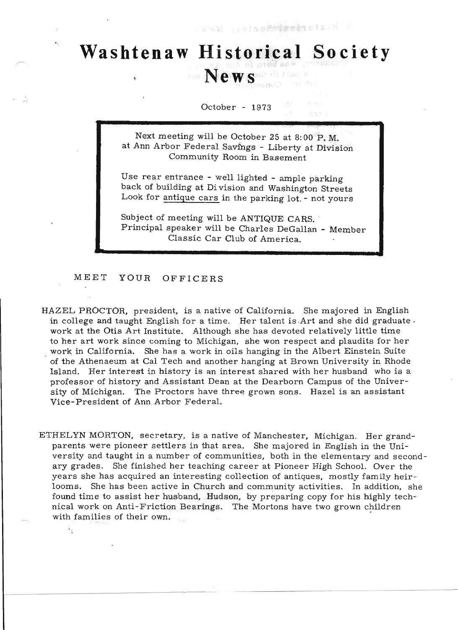## I SE qualo ezainte ata di r

## **Washtenaw Historical Society**  News<sup>all derived</sup>

## October - 1973

Next meeting will be October 25 at 8: 00 P. M. at Ann Arbor Federal Savings - Liberty at Division Community Room in Basement

Use rear entrance - well lighted - ample parking back of building at Di vision and Washington Streets Look for antique cars in the parking lot. - not yours

Subject of meeting will be ANTIQUE CARS. Principal speaker will be Charles DeGallan - Member Classic Car Club of America.

MEET YOUR OFFICERS

 $V_{\rm{L}}$ 

- HAZEL PROCTOR, president, is a native of California. She majored in English in college and taught English for a time. Her talent is .Art and she did graduate . work at the Otis Art Institute. Although she has devoted relatively little time to her art work since coming to Michigan, she won respect and plaudits for her work in California. She has a work in oils hanging in the Albert Einstein Suite of the Athenaeum at Cal Tech and another hanging at Brown University in Rhode Island. Her interest in history is an interest shared with her husband who is a professor of history and Assistant Dean at the Dearborn Campus of the University of Michigan. The Proctors have three grown sons. Hazel is an assistant Vice-President of Ann. Arbor Federal.
- ETHELYN MORTON, secretary, is a native of Manchester, Michigan. Her grandparents were pioneer settlers in that area. She majored in English in the University and taught in a number of communities, both in the elementary and secondary grades. She finished her teaching career at Pioneer High School. Over the years she has acquired an interesting collection of antiques, mostly family heirlooms. She has been active in Church and community activities. In addition, she found time to assist her husband, Hudson, by preparing copy for his highly technical work on Anti-Friction Bearings. The Mortons have two grown children with families of their own.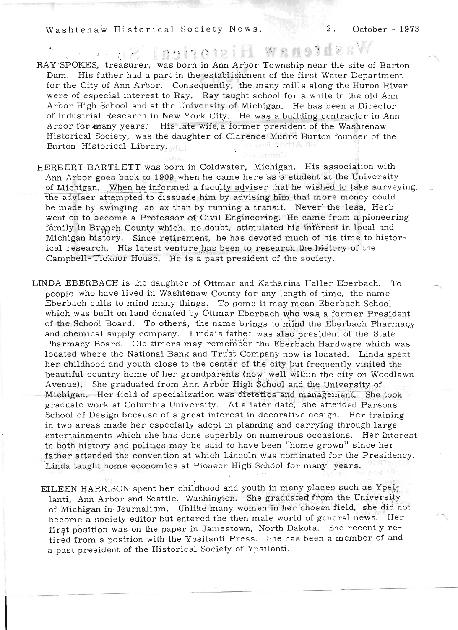Washtenaw Historical Society News. 2. October - 1973

**Washtenaw Historical** RAY SPOKES, treasurer, was born in Ann Arbor Township near the site of Barton Dam. His father had a part in the establishment of the first Water Department for the City of Ann Arbor. Consequently, the many mills along the Huron River were of especial interest to Ray. Ray taught school for a while in the old Ann . Arbor High School and at the University of Michigan. He has been a Director of Industrial Research in New York City. He was a building contractor in Ann Arbor for many years. His late wife, a former president of the Washtenaw Historical Society, was the daughter of Clarence Munro Burton founder of the Burton Historical Library. ive 7 Staring for

HERBERT BARTLETT was born in Coldwater, Michigan. His association with Ann Arbor goes back to 1909 when he came here as a student at the University of Michigan. When he informed a faculty adviser that he wished to take surveying, the adviser attempted to dissuade him by advising him that more money could be made by swinging an ax than by running a transit. Never'-the-Iess, Herb went on to become a Professor of Civil Engineering. He came from a pioneering family in Branch County which, no doubt, stimulated his interest in local and Michigan history. Since retirement, he has devoted much of his time to historical research. His latest venture has been to research the history of the Campbell-Ticknor House. He is a past president of the society.

LINDA EBERBACH is the daughter of Ottmar and Katharina Haller Eberbach. To people who have lived in Washtenaw County for any length of time, the name Eberbach calls to mind many things. To some it may mean Eberbach School which was built on land donated by Ottmar Eberbach who was a former President of the School Board. To others, the name brings to mind the Eberbach Pharmacy and chemical supply company. Linda's father was also president of the State Pharmacy Board. Old timers may remember the Eberbach Hardware which was located where the National Bank and Trust Company now is located. Linda spent her childhood and youth close to the center of the city but frequently visited the ' beautiful country home of her grandparents (now well within the city on Woodlawn Avenue). She graduated from Ann Arbor High School and the University of Michigan. Her-field of specialization was dietetics and management. She took. graduate work at Columbia University. At a later date, she attended Parsons School of Design because of a great interest in decorative design. Her training in two areas made her especially adept in planning and carrying through large entertainments which she has done superbly on numerous occasions. Her interest in both history and politics may be said to have been "home grown" since her . father attended the convention at which Lincoln was nominated for the Presidency. Linda taught home economics at Pioneer High School for many years.

EILEEN HARRISON spent her childhood and youth in many places such as Ypsilanti, Ann Arbor and Seattle. Washington. She graduated from the University anti, Ann Arbor and Seattle. Washington. She graduated from the ontversity<br>f Michigan in Journalism. Unlike many women in her chosen field, she did not<br>ecome a society editor but entered the then male world of general news become a society editor but entered the then male world of general news. Her first position was on the paper in Jamestown, North Dakota. She recently retired from a position with the Ypsilanti Press. She has been a member of and a past president of the Historical Society of Ypsilanti.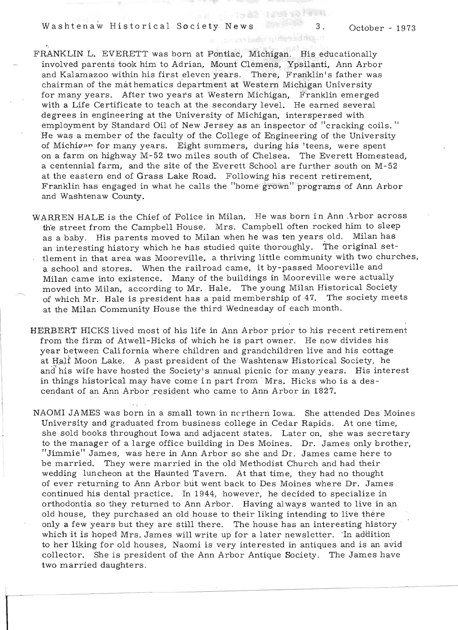Washtenaw Historical Society News 3 . October - <sup>1973</sup>

 $85705 - 1$ 

FRANKLIN L. EVERETT was born at Pontiac, Michigan. His educationally  $\mu$ involved parents took him to Adrian, Mount Clemens, Ypsilanti, Ann Arbor.<br>Industrial parents took him to Adrian, Mount Clemens, Ypsilanti, Ann Arbor. ivolved parents took min to Adrian, mount Clemens, ripsilanti, Ann Arbor<br>id Kalamazoo within his first aleven years. There, Franklin's father was and Kalamazoo within his first eleven years. There, Franklin's father was chairman of the mathematics department at Western Michigan University<br>for many years. After two years at Western Michigan, Franklin emerged r many years. After two years at western michigan, Franklin emerged.<br>it a Life Certificate to teach at the secondary level. He seemed several. im a Life Certificate to teach at the secondary level. The earned several interspersed with degrees in engineering at the University of Michigan, interspersed with<br>employment by Standard Oil of New Jersey as an inspector of "cracking coils." He was a member of the faculty of the College of Engineering of the University of was a member of the faculty of the College of Engineering of the University<br>Michigan for many years. Eight summars, during his 'teens, were spent MICHIP<sup>2</sup> to many years. Eight summers, during his teens, were spent in the extendion of Chelsea. The Exercit Homestead, on a farm on highway M-52 two miles south of Chelsea. The Everett Homestead, a centennial farm, and the site of the Everett School are further south on M-52<br>at the eastern end of Grass Lake Road. Following his recent retirement. Franklin has engaged in what he calls the "home grown" programs of Ann Arbor and Washtenaw County.

WARREN HALF is the Chief of Police in Milan. He was born in Ann Arbor across the street from the Chief of Police in Millan. The was born in Annierus across.<br>The street from the Campbell House. Mrs. Campbell often rocked him to sleep the street from the Campbell House. Mrs. Campbell often rocked him to sleep as a baby. His parents moved to Milan when he was ten years old. Milan has<br>an interesting history which he has studied quite thoroughly. The original setthe method is that area with the method is the community with two churches, in the contract of the community with two churches, is the contract of the community with two churches, ement in that area was Mooreville, a thriving little community with two chu<br>stated and atoms as When the reilroad came, it by-passed Mooreville and a school and stores. When the railroad came, it by-passed Mooreville and<br>Milan came into existence. Many of the buildings in Mooreville were actually  $\min$  came into existence, wany of the buildings in whoreville were actually in  $\min$ oved into Milan, according to Mr. Hale. The young Milan Historical Society<br>Nativel Mr. Hele is a pasident has a paid membership of 47. The society meets of which Mr. Hale is president has a paid membership of 47. The society meets<br>at the Milan Community House the third Wednesday of each month.

HERBERT HICKS lived most of his life in Ann Arbor prior to his recent retirement  $f_{\rm HLR}$  filcks lived most of his life in Ann Arbor prior to his recent retirement. om the firm of Atwell-Hicks of which he is part owner. The now divides his contage. year between California where children and grandchildren live and his cottage<br>at Half Moon Lake. A past president of the Washtenaw Historical Society, he chair moon Lake. A past president of the washtenaw Historical Society, he can be also have been also for many years. His interest. id his wife have hosted the Society's annual picnic for many years. His int<br>- things historical may have come in part from -Mrs. Hicks who is a desin things historical may have come in part from Mrs. Hicks who is a des-cendant of an Ann Arbor resident who came to Ann Arbor in 1827.

NAOMI JAMES was born in a small town in northern Iowa. She attended Des Moines Unit JAMES was porn in a small town in northern lows. She attended Des Moin  $\frac{1}{2}$ University and graduated from business college in Cedar Rapids. At one time, she sold books throughout Iowa and adjacent states. Later on, she was secretary to the manager of a large office building in Des Moines. Dr. James only brother, me manager of a farge office building in Des Moines. Dr. James only prome<br>Immie<sup>nt</sup> James, was here in Arm Arbor so she and Dr. James came here to be married. They was never in Ann Arbor so she and Dr. James came here to<br>a married. They were married in the old Methodist Church and had their be married. They were married in the old Methodist Church and had their wedding luncheon at the Haunted Tavern. At that time, they had no thought of educe returning to Ann Arbor but went back to Des Moines where Dr. James ever returning to Ann Arbor but went back to be swidthes where Dr. James continued his dental practice. In 1944, however, he decided to specialize in orthodontia so they returned to Ann Arbor. Having always wanted to live in an old house, they purchased an old house to their liking intending to live there only a few years but they are still there. The house has an interesting history which it is hoped Mrs. James will write up for a later newsletter. In addition to her liking for old houses, Naomi is very interested in antiques and is an avid collector. She is president of the Ann Arbor Antique Society. The James have two married daughters.